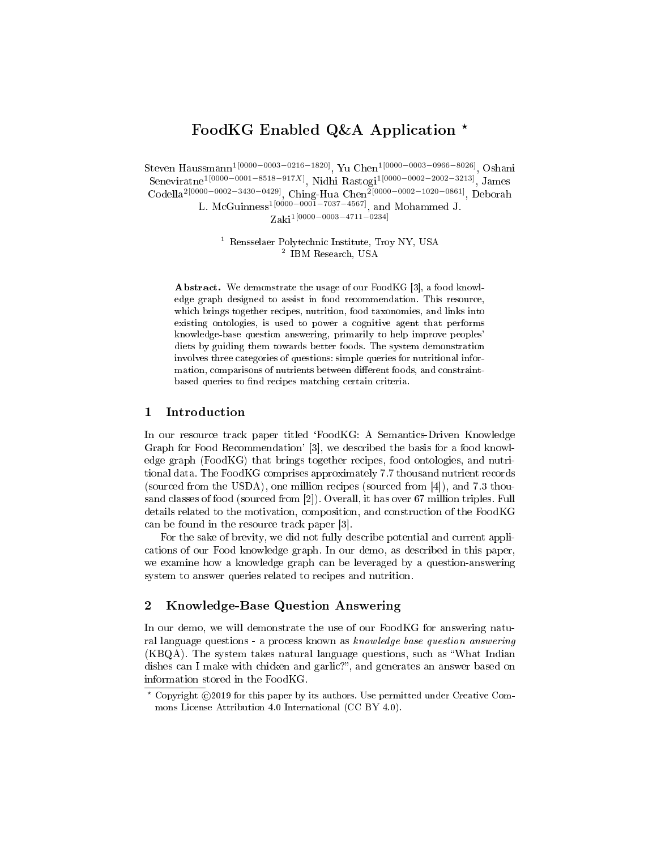# FoodKG Enabled Q&A Application \*

Steven Haussmann1[0000−0003−0216−1820], Yu Chen1[0000−0003−0966−8026], Oshani Seneviratne<sup>1[0000–0001–8518–917X]</sup>, Nidhi Rastogi<sup>1[0000–0002–2002–3213]</sup>, James Codella<sup>2</sup><sup>[0000−0002−3430−0429]</sup>, Ching-Hua Chen<sup>2</sup><sup>[0000−0002−1020−0861]</sup>, Deborah L. McGuinness<sup>1[0000–0001–7037–4567]</sup>, and Mohammed J.

Zaki1[0000−0003−4711−0234]

 $^{\rm 1}$  Rensselaer Polytechnic Institute, Troy NY, USA  $^{\rm 2}$  IBM Research, USA

Abstract. We demonstrate the usage of our FoodKG [3], a food knowledge graph designed to assist in food recommendation. This resource, which brings together recipes, nutrition, food taxonomies, and links into existing ontologies, is used to power a cognitive agent that performs knowledge-base question answering, primarily to help improve peoples' diets by guiding them towards better foods. The system demonstration involves three categories of questions: simple queries for nutritional information, comparisons of nutrients between different foods, and constraintbased queries to find recipes matching certain criteria.

# 1 Introduction

In our resource track paper titled `FoodKG: A Semantics-Driven Knowledge Graph for Food Recommendation' [3], we described the basis for a food knowledge graph (FoodKG) that brings together recipes, food ontologies, and nutritional data. The FoodKG comprises approximately 7.7 thousand nutrient records (sourced from the USDA), one million recipes (sourced from [4]), and 7.3 thousand classes of food (sourced from [2]). Overall, it has over 67 million triples. Full details related to the motivation, composition, and construction of the FoodKG can be found in the resource track paper [3].

For the sake of brevity, we did not fully describe potential and current applications of our Food knowledge graph. In our demo, as described in this paper, we examine how a knowledge graph can be leveraged by a question-answering system to answer queries related to recipes and nutrition.

## 2 Knowledge-Base Question Answering

In our demo, we will demonstrate the use of our FoodKG for answering natural language questions - a process known as knowledge base question answering  $(KBQA)$ . The system takes natural language questions, such as "What Indian dishes can I make with chicken and garlic?", and generates an answer based on information stored in the FoodKG.

 $*$  Copyright  $@2019$  for this paper by its authors. Use permitted under Creative Commons License Attribution 4.0 International (CC BY 4.0).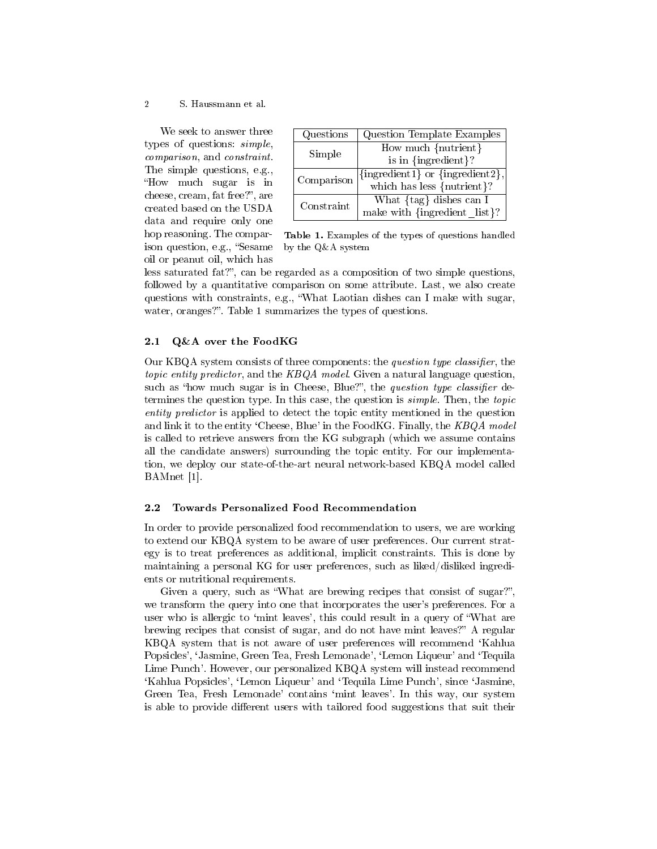## 2 S. Haussmann et al.

We seek to answer three types of questions: simple, comparison, and constraint. The simple questions, e.g., How much sugar is in cheese, cream, fat free?", are created based on the USDA data and require only one hop reasoning. The comparison question, e.g., "Sesame oil or peanut oil, which has

| Questions  | Question Template Examples                   |  |
|------------|----------------------------------------------|--|
| Simple     | $\overline{\text{How much}}$ {nutrient}      |  |
|            | is in ${ingreen}$ ?                          |  |
| Comparison | ${\{ingredient1\}}$ or ${\{ingredient2\}}$ , |  |
|            | which has less {nutrient}?                   |  |
| Constraint | What $\{tag\}$ dishes can I                  |  |
|            | make with ${\{ingredient \; list\}}$ ?       |  |

Table 1. Examples of the types of questions handled by the Q&A system

less saturated fat?", can be regarded as a composition of two simple questions, followed by a quantitative comparison on some attribute. Last, we also create questions with constraints, e.g., What Laotian dishes can I make with sugar, water, oranges?". Table 1 summarizes the types of questions.

## 2.1 Q&A over the FoodKG

Our KBQA system consists of three components: the question type classifier, the topic entity predictor, and the KBQA model. Given a natural language question, such as "how much sugar is in Cheese, Blue?", the *question type classifier* determines the question type. In this case, the question is *simple*. Then, the topic entity predictor is applied to detect the topic entity mentioned in the question and link it to the entity 'Cheese, Blue' in the FoodKG. Finally, the  $KBOA$  model is called to retrieve answers from the KG subgraph (which we assume contains all the candidate answers) surrounding the topic entity. For our implementation, we deploy our state-of-the-art neural network-based KBQA model called BAMnet [1].

## 2.2 Towards Personalized Food Recommendation

In order to provide personalized food recommendation to users, we are working to extend our KBQA system to be aware of user preferences. Our current strategy is to treat preferences as additional, implicit constraints. This is done by maintaining a personal KG for user preferences, such as liked/disliked ingredients or nutritional requirements.

Given a query, such as "What are brewing recipes that consist of sugar?". we transform the query into one that incorporates the user's preferences. For a user who is allergic to 'mint leaves', this could result in a query of "What are brewing recipes that consist of sugar, and do not have mint leaves?" A regular KBQA system that is not aware of user preferences will recommend `Kahlua Popsicles', `Jasmine, Green Tea, Fresh Lemonade', `Lemon Liqueur' and `Tequila Lime Punch'. However, our personalized KBQA system will instead recommend `Kahlua Popsicles', `Lemon Liqueur' and `Tequila Lime Punch', since `Jasmine, Green Tea, Fresh Lemonade' contains `mint leaves'. In this way, our system is able to provide different users with tailored food suggestions that suit their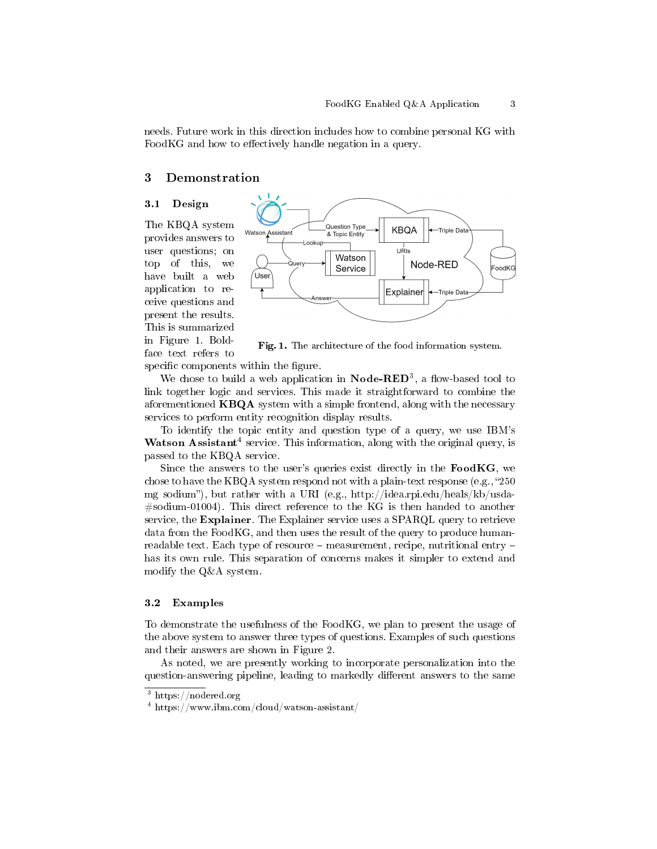needs. Future work in this direction includes how to combine personal KG with FoodKG and how to effectively handle negation in a query.

## 3 Demonstration

## 3.1 Design

The KBQA system provides answers to user questions; on top of this, we have built a web application to receive questions and present the results. This is summarized in Figure 1. Boldface text refers to



Fig. 1. The architecture of the food information system.

specific components within the figure.

We chose to build a web application in  $\textbf{Node-RED}^3$ , a flow-based tool to link together logic and services. This made it straightforward to combine the aforementioned KBQA system with a simple frontend, along with the necessary services to perform entity recognition display results.

To identify the topic entity and question type of a query, we use IBM's Watson Assistant<sup>4</sup> service. This information, along with the original query, is passed to the KBQA service.

Since the answers to the user's queries exist directly in the  $\textbf{FoodKG}$ , we chose to have the KBQA system respond not with a plain-text response (e.g., "250") mg sodium), but rather with a URI (e.g., http://idea.rpi.edu/heals/kb/usda-  $#$ sodium-01004). This direct reference to the KG is then handed to another service, the Explainer. The Explainer service uses a SPARQL query to retrieve data from the FoodKG, and then uses the result of the query to produce humanreadable text. Each type of resource  $-$  measurement, recipe, nutritional entry  $$ has its own rule. This separation of concerns makes it simpler to extend and modify the Q&A system.

## 3.2 Examples

To demonstrate the usefulness of the FoodKG, we plan to present the usage of the above system to answer three types of questions. Examples of such questions and their answers are shown in Figure 2.

As noted, we are presently working to incorporate personalization into the question-answering pipeline, leading to markedly different answers to the same

<sup>3</sup> https://nodered.org

<sup>4</sup> https://www.ibm.com/cloud/watson-assistant/